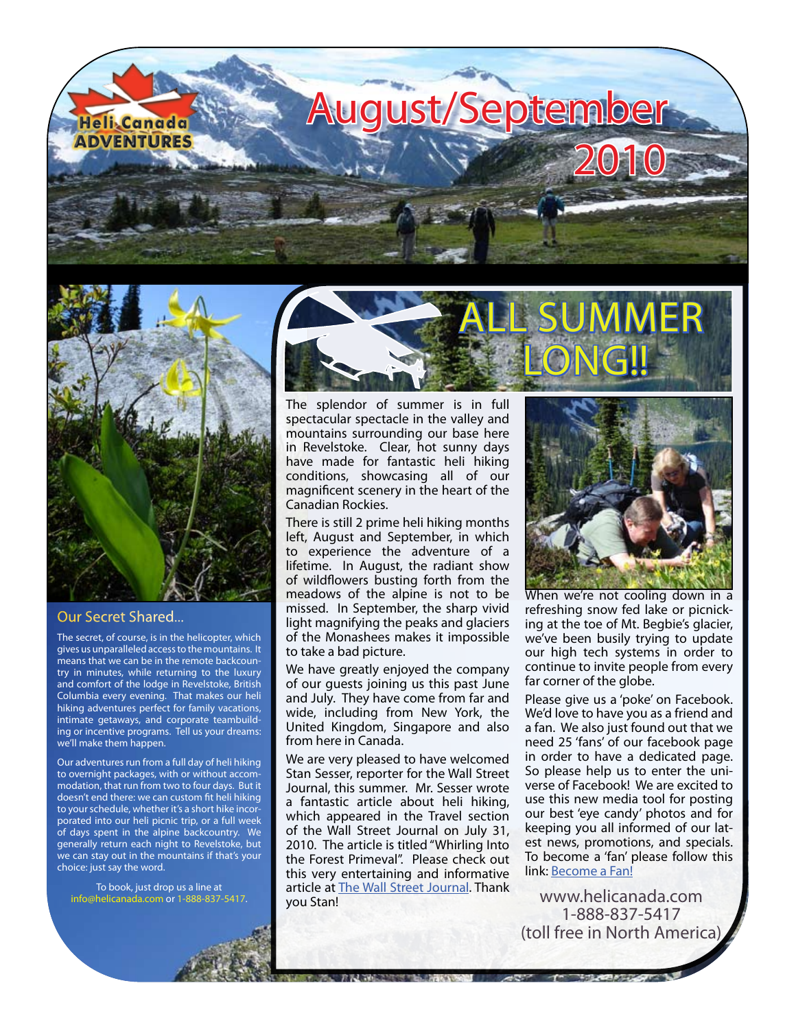



## Our Secret Shared...

The secret, of course, is in the helicopter, which gives us unparalleled access to the mountains. It means that we can be in the remote backcountry in minutes, while returning to the luxury and comfort of the lodge in Revelstoke, British Columbia every evening. That makes our heli hiking adventures perfect for family vacations, intimate getaways, and corporate teambuilding or incentive programs. Tell us your dreams: we'll make them happen.

Our adventures run from a full day of heli hiking to overnight packages, with or without accommodation, that run from two to four days. But it doesn't end there: we can custom fit heli hiking to your schedule, whether it's a short hike incorporated into our heli picnic trip, or a full week of days spent in the alpine backcountry. We generally return each night to Revelstoke, but we can stay out in the mountains if that's your choice: just say the word.

To book, just drop us a line at [info@helicanada.com](mailto:info@helicanada.com) or 1-888-837-5417.



The splendor of summer is in full spectacular spectacle in the valley and mountains surrounding our base here in Revelstoke. Clear, hot sunny days have made for fantastic heli hiking conditions, showcasing all of our magnificent scenery in the heart of the Canadian Rockies.

There is still 2 prime heli hiking months left, August and September, in which to experience the adventure of a lifetime. In August, the radiant show of wildflowers busting forth from the meadows of the alpine is not to be missed. In September, the sharp vivid light magnifying the peaks and glaciers of the Monashees makes it impossible to take a bad picture.

We have greatly enjoyed the company of our guests joining us this past June and July. They have come from far and wide, including from New York, the United Kingdom, Singapore and also from here in Canada.

We are very pleased to have welcomed Stan Sesser, reporter for the Wall Street Journal, this summer. Mr. Sesser wrote a fantastic article about heli hiking, which appeared in the Travel section of the Wall Street Journal on July 31, 2010. The article is titled "Whirling Into the Forest Primeval". Please check out this very entertaining and informative article at [The Wall Street Journal.](http://online.wsj.com/article_email/SB10001424052748704684604575381010403088400-lMyQjAxMTAwMDMwMTEzNDEyWj.html#articleTabs%3Darticle) Thank you Stan!

**TO MARKET TO BE STATE** 



When we're not cooling down in a refreshing snow fed lake or picnicking at the toe of Mt. Begbie's glacier, we've been busily trying to update our high tech systems in order to continue to invite people from every far corner of the globe.

Please give us a 'poke' on Facebook. We'd love to have you as a friend and a fan. We also just found out that we need 25 'fans' of our facebook page in order to have a dedicated page. So please help us to enter the universe of Facebook! We are excited to use this new media tool for posting our best 'eye candy' photos and for keeping you all informed of our latest news, promotions, and specials. To become a 'fan' please follow this link: [Become a Fan!](http://www.facebook.com/helihiking#!/pages/Heli-Canada-Adventures-Heli-Hiking-and-Heli-Walking/129105467131147)

[www.helicanada.com](http://www.helicanada.com) 1-888-837-5417 (toll free in North America)